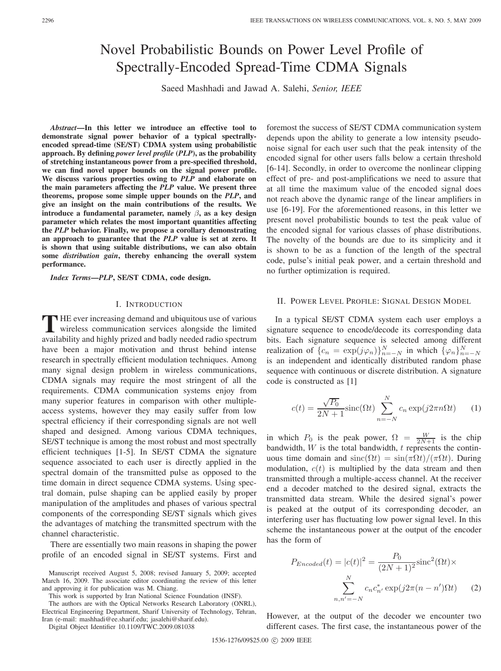# Novel Probabilistic Bounds on Power Level Profile of Spectrally-Encoded Spread-Time CDMA Signals

Saeed Mashhadi and Jawad A. Salehi, *Senior, IEEE*

*Abstract***—In this letter we introduce an effective tool to demonstrate signal power behavior of a typical spectrallyencoded spread-time (SE/ST) CDMA system using probabilistic approach. By defining** *power level profile* **(***PLP***), as the probability of stretching instantaneous power from a pre-specified threshold, we can find novel upper bounds on the signal power profile. We discuss various properties owing to** *PLP* **and elaborate on the main parameters affecting the** *PLP* **value. We present three theorems, propose some simple upper bounds on the** *PLP***, and give an insight on the main contributions of the results. We introduce a fundamental parameter, namely** β**, as a key design parameter which relates the most important quantities affecting the** *PLP* **behavior. Finally, we propose a corollary demonstrating an approach to guarantee that the** *PLP* **value is set at zero. It is shown that using suitable distributions, we can also obtain some** *distribution gain***, thereby enhancing the overall system performance.**

*Index Terms***—***PLP***, SE/ST CDMA, code design.**

### I. INTRODUCTION

**T** HE ever increasing demand and ubiquitous use of various wireless communication services alongside the limited availability and highly prized and badly needed radio spectrum have been a major motivation and thrust behind intense research in spectrally efficient modulation techniques. Among many signal design problem in wireless communications, CDMA signals may require the most stringent of all the requirements. CDMA communication systems enjoy from many superior features in comparison with other multipleaccess systems, however they may easily suffer from low spectral efficiency if their corresponding signals are not well shaped and designed. Among various CDMA techniques, SE/ST technique is among the most robust and most spectrally efficient techniques [1-5]. In SE/ST CDMA the signature sequence associated to each user is directly applied in the spectral domain of the transmitted pulse as opposed to the time domain in direct sequence CDMA systems. Using spectral domain, pulse shaping can be applied easily by proper manipulation of the amplitudes and phases of various spectral components of the corresponding SE/ST signals which gives the advantages of matching the transmitted spectrum with the channel characteristic.

There are essentially two main reasons in shaping the power profile of an encoded signal in SE/ST systems. First and

Manuscript received August 5, 2008; revised January 5, 2009; accepted March 16, 2009. The associate editor coordinating the review of this letter and approving it for publication was M. Chiang.

This work is supported by Iran National Science Foundation (INSF).

The authors are with the Optical Networks Research Laboratory (ONRL), Electrical Engineering Department, Sharif University of Technology, Tehran, Iran (e-mail: mashhadi@ee.sharif.edu; jasalehi@sharif.edu).

Digital Object Identifier 10.1109/TWC.2009.081038

foremost the success of SE/ST CDMA communication system depends upon the ability to generate a low intensity pseudonoise signal for each user such that the peak intensity of the encoded signal for other users falls below a certain threshold [6-14]. Secondly, in order to overcome the nonlinear clipping effect of pre- and post-amplifications we need to assure that at all time the maximum value of the encoded signal does not reach above the dynamic range of the linear amplifiers in use [6-19]. For the aforementioned reasons, in this letter we present novel probabilistic bounds to test the peak value of the encoded signal for various classes of phase distributions. The novelty of the bounds are due to its simplicity and it is shown to be as a function of the length of the spectral code, pulse's initial peak power, and a certain threshold and no further optimization is required.

#### II. POWER LEVEL PROFILE: SIGNAL DESIGN MODEL

In a typical SE/ST CDMA system each user employs a signature sequence to encode/decode its corresponding data bits. Each signature sequence is selected among different realization of  $\{c_n = \exp(j\varphi_n)\}_{n=-N}^N$  in which  $\{\varphi_n\}_{n=-N}^N$ is an independent and identically distributed random phase sequence with continuous or discrete distribution. A signature code is constructed as [1]

$$
c(t) = \frac{\sqrt{P_0}}{2N+1} \operatorname{sinc}(\Omega t) \sum_{n=-N}^{N} c_n \exp(j2\pi n \Omega t) \qquad (1)
$$

in which  $P_0$  is the peak power,  $\Omega = \frac{W}{2N+1}$  is the chip bandwidth,  $W$  is the total bandwidth,  $t$  represents the continuous time domain and  $\text{sinc}(\Omega t) = \sin(\pi \Omega t)/(\pi \Omega t)$ . During modulation,  $c(t)$  is multiplied by the data stream and then transmitted through a multiple-access channel. At the receiver end a decoder matched to the desired signal, extracts the transmitted data stream. While the desired signal's power is peaked at the output of its corresponding decoder, an interfering user has fluctuating low power signal level. In this scheme the instantaneous power at the output of the encoder has the form of

$$
P_{Encoded}(t) = |c(t)|^2 = \frac{P_0}{(2N+1)^2} \operatorname{sinc}^2(\Omega t) \times
$$

$$
\sum_{n,n'=-N}^{N} c_n c_n^* \exp(j2\pi(n-n')\Omega t) \qquad (2)
$$

However, at the output of the decoder we encounter two different cases. The first case, the instantaneous power of the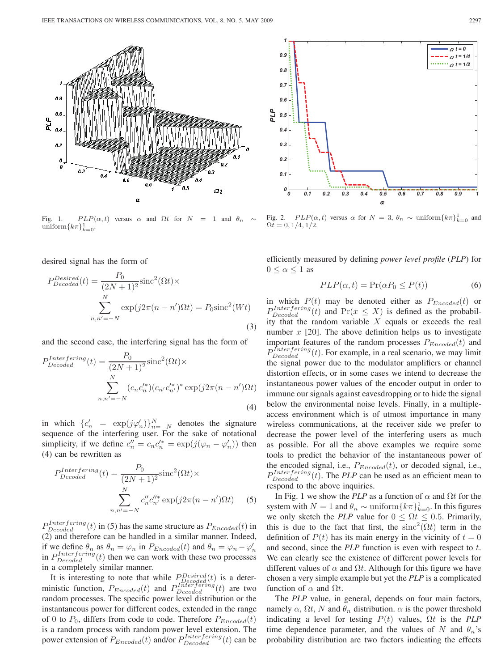

Fig. 1.  $PLP(\alpha, t)$  versus  $\alpha$  and  $\Omega t$  for  $N = 1$  and  $\theta_n$  $\text{uniform}\lbrace k\pi\rbrace_{k=0}^1$ .

desired signal has the form of

$$
P_{Decoded}^{Desired}(t) = \frac{P_0}{(2N+1)^2} \text{sinc}^2(\Omega t) \times
$$

$$
\sum_{n,n'=-N}^{N} \exp(j2\pi(n-n')\Omega t) = P_0 \text{sinc}^2(Wt)
$$
(3)

and the second case, the interfering signal has the form of

$$
P_{Decoded}^{Interfering}(t) = \frac{P_0}{(2N+1)^2} \text{sinc}^2(\Omega t) \times
$$

$$
\sum_{n,n'=-N}^{N} (c_n c_n'^*)(c_{n'} c_{n'}'^*)^* \exp(j2\pi(n-n')\Omega t)
$$
(4)

in which  ${c'_n = \exp(j\varphi'_n)}_{n=-N}^N$  denotes the signature sequence of the interfering user. For the sake of notational simplicity, if we define  $c''_n = c_n c'^*_n = \exp(j(\varphi_n - \varphi'_n))$  then (4) can be rewritten as

$$
P_{Decoded}^{Interfering}(t) = \frac{P_0}{(2N+1)^2} \text{sinc}^2(\Omega t) \times
$$

$$
\sum_{n,n'=-N}^{N} c_n'' c_{n'}''^{*} \exp(j2\pi(n-n')\Omega t) \qquad (5)
$$

 $P_{Decoded}^{Interfering}(t)$  in (5) has the same structure as  $P_{Encoded}(t)$  in (2) and therefore can be handled in a similar manner. Indeed, if we define  $\theta_n$  as  $\theta_n = \varphi_n$  in  $P_{Encoder}(t)$  and  $\theta_n = \varphi_n - \varphi'_n$ in  $P_{Decoded}^{Interfering}(t)$  then we can work with these two processes in a completely similar manner.

It is interesting to note that while  $P_{Decoded}^{Desired}(t)$  is a deterministic function,  $P_{Encode}(t)$  and  $P_{Decode}^{Interfering}(t)$  are two random processes. The specific power level distribution or the instantaneous power for different codes, extended in the range of 0 to  $P_0$ , differs from code to code. Therefore  $P_{Encode}(t)$ is a random process with random power level extension. The power extension of  $P_{Encoder}(t)$  and/or  $P_{Decoded}^{Interfering}(t)$  can be



Fig. 2.  $PLP(\alpha, t)$  versus  $\alpha$  for  $N = 3$ ,  $\theta_n \sim \text{uniform}\{k\pi\}_{k=0}^1$  and  $\Omega t = 0, 1/4, 1/2.$ 

efficiently measured by defining *power level profile* (*PLP*) for  $0 \leq \alpha \leq 1$  as

$$
PLP(\alpha, t) = \Pr(\alpha P_0 \le P(t))\tag{6}
$$

in which  $P(t)$  may be denoted either as  $P_{Encode}(t)$  or  $P_{Decoded}^{Interfering}(t)$  and  $Pr(x \leq X)$  is defined as the probability that the random variable  $X$  equals or exceeds the real number  $x$  [20]. The above definition helps us to investigate important features of the random processes  $P_{Encode}(t)$  and  $P_{Decoded}^{Interfering}(t)$ . For example, in a real scenario, we may limit the signal power due to the modulator amplifiers or channel distortion effects, or in some cases we intend to decrease the instantaneous power values of the encoder output in order to immune our signals against eavesdropping or to hide the signal below the environmental noise levels. Finally, in a multipleaccess environment which is of utmost importance in many wireless communications, at the receiver side we prefer to decrease the power level of the interfering users as much as possible. For all the above examples we require some tools to predict the behavior of the instantaneous power of the encoded signal, i.e.,  $P_{Encoder}(t)$ , or decoded signal, i.e.,  $P_{Decoded}^{Interfering}(t)$ . The *PLP* can be used as an efficient mean to respond to the above inquiries.

In Fig. 1 we show the *PLP* as a function of  $\alpha$  and  $\Omega t$  for the system with  $N = 1$  and  $\theta_n \sim \text{uniform}\{k\pi\}_{k=0}^1$ . In this figures we only sketch the *PLP* value for  $0 \le \Omega t \le 0.5$ . Primarily, this is due to the fact that first, the sinc<sup>2</sup>( $\Omega t$ ) term in the definition of  $P(t)$  has its main energy in the vicinity of  $t = 0$ and second, since the *PLP* function is even with respect to t. We can clearly see the existence of different power levels for different values of  $\alpha$  and  $\Omega t$ . Although for this figure we have chosen a very simple example but yet the *PLP* is a complicated function of  $\alpha$  and  $\Omega t$ .

The *PLP* value, in general, depends on four main factors, namely  $\alpha$ ,  $\Omega t$ , N and  $\theta_n$  distribution.  $\alpha$  is the power threshold indicating a level for testing  $P(t)$  values,  $\Omega t$  is the *PLP* time dependence parameter, and the values of N and  $\theta_n$ 's probability distribution are two factors indicating the effects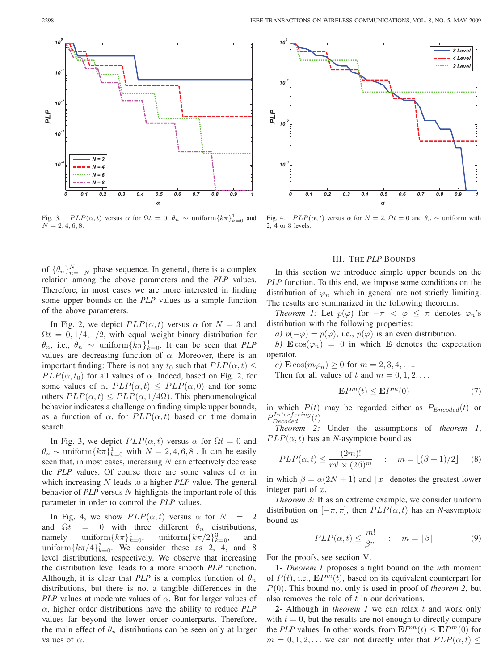

Fig. 3.  $PLP(\alpha, t)$  versus  $\alpha$  for  $\Omega t = 0$ ,  $\theta_n \sim \text{uniform}\{k\pi\}_{k=0}^1$  and  $N = 2, 4, 6, 8.$ 

of  $\{\theta_n\}_{n=-N}^N$  phase sequence. In general, there is a complex relation among the above parameters and the *PLP* values. Therefore, in most cases we are more interested in finding some upper bounds on the *PLP* values as a simple function of the above parameters.

In Fig. 2, we depict  $PLP(\alpha, t)$  versus  $\alpha$  for  $N = 3$  and  $\Omega t = 0, 1/4, 1/2$ , with equal weight binary distribution for  $\theta_n$ , i.e.,  $\theta_n \sim \text{uniform}\lbrace k\pi\rbrace_{k=0}^1$ . It can be seen that *PLP* values are decreasing function of  $\alpha$ . Moreover, there is an important finding: There is not any  $t_0$  such that  $PLP(\alpha, t) \leq$  $PLP(\alpha, t_0)$  for all values of  $\alpha$ . Indeed, based on Fig. 2, for some values of  $\alpha$ ,  $PLP(\alpha, t) \leq PLP(\alpha, 0)$  and for some others  $PLP(\alpha, t) \leq PLP(\alpha, 1/4\Omega)$ . This phenomenological behavior indicates a challenge on finding simple upper bounds, as a function of  $\alpha$ , for  $PLP(\alpha, t)$  based on time domain search.

In Fig. 3, we depict  $PLP(\alpha, t)$  versus  $\alpha$  for  $\Omega t = 0$  and  $\theta_n \sim \text{uniform}\{k\pi\}_{k=0}^{\infty}$  with  $N = 2, 4, 6, 8$ . It can be easily seen that, in most cases, increasing  $N$  can effectively decrease the *PLP* values. Of course there are some values of  $\alpha$  in which increasing N leads to a higher *PLP* value. The general behavior of *PLP* versus N highlights the important role of this parameter in order to control the *PLP* values.

In Fig. 4, we show  $PLP(\alpha, t)$  versus  $\alpha$  for  $N = 2$ and  $\Omega t = 0$  with three different  $\theta_n$  distributions, namely uniform $\{k\pi\}_{k=0}^1$ ,  $\lim_{k=0}$ , uniform ${k\pi/2}_{k=0}^3$ , and uniform $\{k\pi/4\}_{k=0}^7$ . We consider these as 2, 4, and 8 level distributions, respectively. We observe that increasing the distribution level leads to a more smooth *PLP* function. Although, it is clear that *PLP* is a complex function of  $\theta_n$ distributions, but there is not a tangible differences in the *PLP* values at moderate values of  $\alpha$ . But for larger values of α, higher order distributions have the ability to reduce *PLP* values far beyond the lower order counterparts. Therefore, the main effect of  $\theta_n$  distributions can be seen only at larger values of  $\alpha$ .



Fig. 4.  $PLP(\alpha, t)$  versus  $\alpha$  for  $N = 2$ ,  $\Omega t = 0$  and  $\theta_n \sim$  uniform with 2, 4 or 8 levels.

### III. THE *PLP* BOUNDS

In this section we introduce simple upper bounds on the *PLP* function. To this end, we impose some conditions on the distribution of  $\varphi_n$  which in general are not strictly limiting. The results are summarized in the following theorems.

*Theorem 1:* Let  $p(\varphi)$  for  $-\pi < \varphi \leq \pi$  denotes  $\varphi_n$ 's distribution with the following properties:

*a)*  $p(-\varphi) = p(\varphi)$ , i.e.,  $p(\varphi)$  is an even distribution.

*b*)  $\mathbf{E} \cos(\varphi_n) = 0$  in which **E** denotes the expectation operator.

*c*)  $\mathbf{E}\cos(m\varphi_n) \geq 0$  for  $m = 2, 3, 4, \ldots$ Then for all values of t and  $m = 0, 1, 2, \ldots$ 

$$
\mathbf{E}P^{m}(t) \le \mathbf{E}P^{m}(0)
$$
 (7)

in which  $P(t)$  may be regarded either as  $P_{Encode}(t)$  or  $P^{Interfering}_{Decoded}(t).$ 

*Theorem 2:* Under the assumptions of *theorem 1*,  $PLP(\alpha, t)$  has an *N*-asymptote bound as

$$
PLP(\alpha, t) \le \frac{(2m)!}{m! \times (2\beta)^m} \quad : \quad m = \lfloor (\beta + 1)/2 \rfloor \quad (8)
$$

in which  $\beta = \alpha(2N + 1)$  and |x| denotes the greatest lower integer part of  $x$ .

*Theorem 3:* If as an extreme example, we consider uniform distribution on  $[-\pi, \pi]$ , then  $PLP(\alpha, t)$  has an *N*-asymptote bound as

$$
PLP(\alpha, t) \le \frac{m!}{\beta^m} \quad : \quad m = \lfloor \beta \rfloor \tag{9}
$$

For the proofs, see section V.

**1-** *Theorem 1* proposes a tight bound on the *m*th moment of  $P(t)$ , i.e.,  $\mathbf{E}P^{m}(t)$ , based on its equivalent counterpart for P(0). This bound not only is used in proof of *theorem 2*, but also removes the role of t in our derivations.

**2-** Although in *theorem 1* we can relax t and work only with  $t = 0$ , but the results are not enough to directly compare the *PLP* values. In other words, from  $\mathbf{E}P^m(t) \leq \mathbf{E}P^m(0)$  for  $m = 0, 1, 2, \dots$  we can not directly infer that  $PLP(\alpha, t) \leq$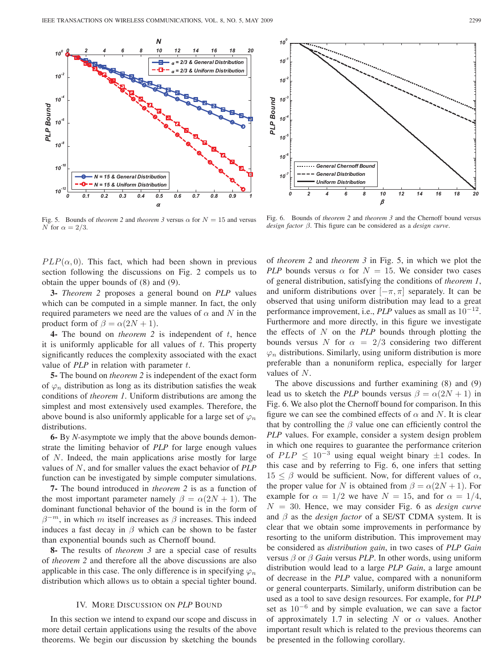

*10<sup>0</sup> 10-1 10-2* PLP Bound *10-3 PLP Bound 10-4 10-5 10-6 General Chernoff Bound General Distribution 10-7 Uniform Distribution 0 2 4 6 8 10 12 14 16 18 20*  $\beta$ 

Fig. 5. Bounds of *theorem 2* and *theorem 3* versus  $\alpha$  for  $N = 15$  and versus N for  $\alpha = 2/3$ .

Fig. 6. Bounds of *theorem 2* and *theorem 3* and the Chernoff bound versus *design factor* β. This figure can be considered as a *design curve*.

 $PLP(\alpha, 0)$ . This fact, which had been shown in previous section following the discussions on Fig. 2 compels us to obtain the upper bounds of (8) and (9).

**3-** *Theorem 2* proposes a general bound on *PLP* values which can be computed in a simple manner. In fact, the only required parameters we need are the values of  $\alpha$  and N in the product form of  $\beta = \alpha(2N + 1)$ .

**4-** The bound on *theorem 2* is independent of t, hence it is uniformly applicable for all values of  $t$ . This property significantly reduces the complexity associated with the exact value of  $PLP$  in relation with parameter  $t$ .

**5-** The bound on *theorem 2* is independent of the exact form of  $\varphi_n$  distribution as long as its distribution satisfies the weak conditions of *theorem 1*. Uniform distributions are among the simplest and most extensively used examples. Therefore, the above bound is also uniformly applicable for a large set of  $\varphi_n$ distributions.

**6-** By *N-*asymptote we imply that the above bounds demonstrate the limiting behavior of *PLP* for large enough values of N. Indeed, the main applications arise mostly for large values of N, and for smaller values the exact behavior of *PLP* function can be investigated by simple computer simulations.

**7-** The bound introduced in *theorem 2* is as a function of the most important parameter namely  $\beta = \alpha(2N + 1)$ . The dominant functional behavior of the bound is in the form of  $\beta^{-m}$ , in which m itself increases as  $\beta$  increases. This indeed induces a fast decay in  $\beta$  which can be shown to be faster than exponential bounds such as Chernoff bound.

**8-** The results of *theorem 3* are a special case of results of *theorem 2* and therefore all the above discussions are also applicable in this case. The only difference is in specifying  $\varphi_n$ distribution which allows us to obtain a special tighter bound.

## IV. MORE DISCUSSION ON *PLP* BOUND

In this section we intend to expand our scope and discuss in more detail certain applications using the results of the above theorems. We begin our discussion by sketching the bounds of *theorem 2* and *theorem 3* in Fig. 5, in which we plot the *PLP* bounds versus  $\alpha$  for  $N = 15$ . We consider two cases of general distribution, satisfying the conditions of *theorem 1*, and uniform distributions over  $[-\pi, \pi]$  separately. It can be observed that using uniform distribution may lead to a great performance improvement, i.e., *PLP* values as small as 10−<sup>12</sup>. Furthermore and more directly, in this figure we investigate the effects of N on the *PLP* bounds through plotting the bounds versus N for  $\alpha = 2/3$  considering two different  $\varphi_n$  distributions. Similarly, using uniform distribution is more preferable than a nonuniform replica, especially for larger values of N.

The above discussions and further examining (8) and (9) lead us to sketch the *PLP* bounds versus  $\beta = \alpha(2N + 1)$  in Fig. 6. We also plot the Chernoff bound for comparison. In this figure we can see the combined effects of  $\alpha$  and N. It is clear that by controlling the  $\beta$  value one can efficiently control the *PLP* values. For example, consider a system design problem in which one requires to guarantee the performance criterion of  $PLP \leq 10^{-3}$  using equal weight binary  $\pm 1$  codes. In this case and by referring to Fig. 6, one infers that setting  $15 \leq \beta$  would be sufficient. Now, for different values of  $\alpha$ , the proper value for N is obtained from  $\beta = \alpha(2N + 1)$ . For example for  $\alpha = 1/2$  we have  $N = 15$ , and for  $\alpha = 1/4$ ,  $N = 30$ . Hence, we may consider Fig. 6 as *design curve* and β as the *design factor* of a SE/ST CDMA system. It is clear that we obtain some improvements in performance by resorting to the uniform distribution. This improvement may be considered as *distribution gain*, in two cases of *PLP Gain* versus β or β *Gain* versus *PLP*. In other words, using uniform distribution would lead to a large *PLP Gain*, a large amount of decrease in the *PLP* value, compared with a nonuniform or general counterparts. Similarly, uniform distribution can be used as a tool to save design resources. For example, for *PLP* set as  $10^{-6}$  and by simple evaluation, we can save a factor of approximately 1.7 in selecting N or  $\alpha$  values. Another important result which is related to the previous theorems can be presented in the following corollary.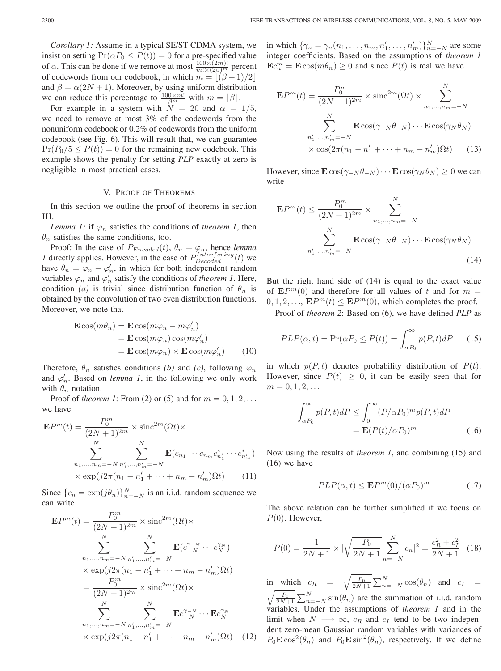*Corollary 1:* Assume in a typical SE/ST CDMA system, we insist on setting  $Pr(\alpha P_0 \leq P(t)) = 0$  for a pre-specified value of  $\alpha$ . This can be done if we remove at most  $\frac{100 \times (2m)!}{m! \times (2\beta)^m}$  percent of codewords from our codebook, in which  $m = |(\beta + 1)/2|$ and  $\beta = \alpha(2N + 1)$ . Moreover, by using uniform distribution we can reduce this percentage to  $\frac{100 \times m!}{\beta^m}$  with  $m = \lfloor \beta \rfloor$ .

For example in a system with  $N = 20$  and  $\alpha = 1/5$ , we need to remove at most 3% of the codewords from the nonuniform codebook or 0.2% of codewords from the uniform codebook (see Fig. 6). This will result that, we can guarantee  $Pr(P_0/5 \leq P(t)) = 0$  for the remaining new codebook. This example shows the penalty for setting *PLP* exactly at zero is negligible in most practical cases.

## V. PROOF OF THEOREMS

In this section we outline the proof of theorems in section III.

*Lemma 1:* if  $\varphi_n$  satisfies the conditions of *theorem 1*, then  $\theta_n$  satisfies the same conditions, too.

Proof: In the case of  $P_{Encoded}(t)$ ,  $\theta_n = \varphi_n$ , hence *lemma 1* directly applies. However, in the case of  $P_{Decoded}^{Interfering}(t)$  we have  $\theta_n = \varphi_n - \varphi'_n$ , in which for both independent random variables  $\varphi_n$  and  $\varphi'_n$  satisfy the conditions of *theorem 1*. Here, condition *(a)* is trivial since distribution function of  $\theta_n$  is obtained by the convolution of two even distribution functions. Moreover, we note that

$$
\mathbf{E}\cos(m\theta_n) = \mathbf{E}\cos(m\varphi_n - m\varphi'_n)
$$
  
=  $\mathbf{E}\cos(m\varphi_n)\cos(m\varphi'_n)$   
=  $\mathbf{E}\cos(m\varphi_n) \times \mathbf{E}\cos(m\varphi'_n)$  (10)

Therefore,  $\theta_n$  satisfies conditions *(b)* and *(c)*, following  $\varphi_n$ and  $\varphi'_n$ . Based on *lemma 1*, in the following we only work with  $\theta_n$  notation.

Proof of *theorem 1*: From (2) or (5) and for  $m = 0, 1, 2, \ldots$ we have

$$
\mathbf{E}P^{m}(t) = \frac{P_{0}^{m}}{(2N+1)^{2m}} \times \text{sinc}^{2m}(\Omega t) \times
$$

$$
\sum_{n_{1},...,n_{m}=-N}^{N} \sum_{n'_{1},...,n'_{m}=-N}^{N} \mathbf{E}(c_{n_{1}} \cdots c_{n_{m}} c_{n'_{1}}^{*} \cdots c_{n'_{m}}^{*})
$$

$$
\times \exp(j2\pi(n_{1}-n'_{1}+\cdots+n_{m}-n'_{m})\Omega t)
$$
(11)

Since  $\{c_n = \exp(j\theta_n)\}_{n=-N}^N$  is an i.i.d. random sequence we can write

$$
\mathbf{E}P^{m}(t) = \frac{P_{0}^{m}}{(2N+1)^{2m}} \times \operatorname{sinc}^{2m}(\Omega t) \times
$$
\n
$$
\sum_{n_{1},...,n_{m}=-N}^{N} \sum_{n'_{1},...,n'_{m}=-N}^{N} \mathbf{E}(c_{-N}^{\gamma_{-N}} \cdots c_{N}^{\gamma_{N}})
$$
\n
$$
\times \exp(j2\pi(n_{1}-n'_{1}+\cdots+n_{m}-n'_{m})\Omega t)
$$
\n
$$
= \frac{P_{0}^{m}}{(2N+1)^{2m}} \times \operatorname{sinc}^{2m}(\Omega t) \times
$$
\n
$$
\sum_{n_{1},...,n_{m}=-N}^{N} \sum_{n'_{1},...,n'_{m}=-N}^{N} \mathbf{E}c_{-N}^{\gamma_{-N}} \cdots \mathbf{E}c_{N}^{\gamma_{N}}
$$
\n
$$
\times \exp(j2\pi(n_{1}-n'_{1}+\cdots+n_{m}-n'_{m})\Omega t) \quad (12)
$$

in which  $\{\gamma_n = \gamma_n(n_1, \dots, n_m, n'_1, \dots, n'_m)\}_{n=-N}^N$  are some integer coefficients. Based on the assumptions of *theorem 1*  $\mathbf{E}c_n^m = \mathbf{E}\cos(m\theta_n) \ge 0$  and since  $P(t)$  is real we have

$$
\mathbf{E}P^{m}(t) = \frac{P_{0}^{m}}{(2N+1)^{2m}} \times \operatorname{sinc}^{2m}(\Omega t) \times \sum_{n_{1},...,n_{m}=-N}^{N}
$$

$$
\sum_{n'_{1},...,n'_{m}=-N}^{N} \mathbf{E} \cos(\gamma_{-N}\theta_{-N}) \cdots \mathbf{E} \cos(\gamma_{N}\theta_{N})
$$

$$
\times \cos(2\pi(n_{1}-n'_{1}+\cdots+n_{m}-n'_{m})\Omega t) \qquad (13)
$$

However, since  $\mathbf{E} \cos(\gamma_N \theta - N) \cdots \mathbf{E} \cos(\gamma_N \theta - N) \geq 0$  we can write

$$
\mathbf{E}P^{m}(t) \leq \frac{P_{0}^{m}}{(2N+1)^{2m}} \times \sum_{n_{1},...,n_{m}=-N}^{N} \mathbf{E} \cos(\gamma_{-N}\theta_{-N}) \cdots \mathbf{E} \cos(\gamma_{N}\theta_{N})
$$
\n
$$
n'_{1},...,n'_{m}=-N \tag{14}
$$

But the right hand side of (14) is equal to the exact value of  $\mathbf{E}P^m(0)$  and therefore for all values of t and for  $m =$  $0, 1, 2, \ldots$ ,  $\mathbf{E}P^{m}(t) \leq \mathbf{E}P^{m}(0)$ , which completes the proof.

Proof of *theorem 2*: Based on (6), we have defined *PLP* as

$$
PLP(\alpha, t) = \Pr(\alpha P_0 \le P(t)) = \int_{\alpha P_0}^{\infty} p(P, t) dP \qquad (15)
$$

in which  $p(P, t)$  denotes probability distribution of  $P(t)$ . However, since  $P(t) \geq 0$ , it can be easily seen that for  $m = 0, 1, 2, \ldots$ 

$$
\int_{\alpha P_0}^{\infty} p(P, t) dP \le \int_0^{\infty} (P/\alpha P_0)^m p(P, t) dP
$$

$$
= \mathbf{E} (P(t)/\alpha P_0)^m \tag{16}
$$

Now using the results of *theorem 1*, and combining (15) and (16) we have

$$
PLP(\alpha, t) \le \mathbf{E}P^{m}(0) / (\alpha P_{0})^{m}
$$
 (17)

The above relation can be further simplified if we focus on  $P(0)$ . However,

$$
P(0) = \frac{1}{2N+1} \times |\sqrt{\frac{P_0}{2N+1}} \sum_{n=-N}^{N} c_n|^2 = \frac{c_R^2 + c_I^2}{2N+1}
$$
 (18)

in which  $c_R = \sqrt{\frac{P_0}{2N+1}} \sum_{n=-N}^{N} \cos(\theta_n)$  and  $c_I =$  $\sqrt{\frac{P_0}{2N+1}}\sum_{n=-N}^{N}\sin(\theta_n)$  are the summation of i.i.d. random variables. Under the assumptions of *theorem 1* and in the limit when  $N \longrightarrow \infty$ ,  $c_R$  and  $c_I$  tend to be two independent zero-mean Gaussian random variables with variances of  $P_0 \mathbf{E} \cos^2(\theta_n)$  and  $P_0 \mathbf{E} \sin^2(\theta_n)$ , respectively. If we define